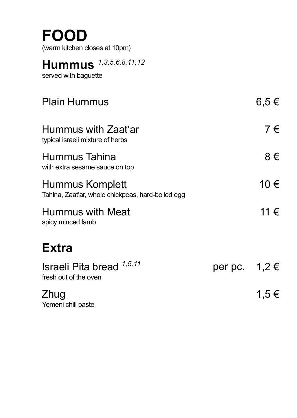### **FOOD**

(warm kitchen closes at 10pm)

#### **Hummus** *1,3,5,6,8,11,12*

served with baguette

| <b>Plain Hummus</b>                                                  |                   | $6.5 \in$ |
|----------------------------------------------------------------------|-------------------|-----------|
| Hummus with Zaat'ar<br>typical israeli mixture of herbs              |                   | 7€        |
| Hummus Tahina<br>with extra sesame sauce on top                      |                   | 8€        |
| Hummus Komplett<br>Tahina, Zaat'ar, whole chickpeas, hard-boiled egg |                   | 10 €      |
| Hummus with Meat<br>spicy minced lamb                                |                   | 11 €      |
| <b>Extra</b>                                                         |                   |           |
| Israeli Pita bread 1,5,11<br>fresh out of the oven                   | per pc. $1,2 \in$ |           |
| Zhug<br>Yemeni chili paste                                           |                   | 1,5 €     |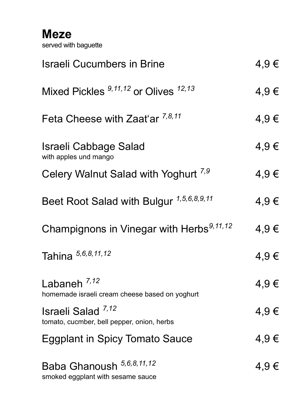**Meze** served with baguette

| <b>Israeli Cucumbers in Brine</b>                                           | 4,9€ |
|-----------------------------------------------------------------------------|------|
| Mixed Pickles <sup>9,11,12</sup> or Olives <sup>12,13</sup>                 | 4,9€ |
| Feta Cheese with Zaat'ar 7,8,11                                             | 4,9€ |
| Israeli Cabbage Salad<br>with apples und mango                              | 4,9€ |
| Celery Walnut Salad with Yoghurt <sup>7,9</sup>                             | 4,9€ |
| Beet Root Salad with Bulgur 1,5,6,8,9,11                                    | 4,9€ |
| Champignons in Vinegar with Herbs <sup>9,11,12</sup>                        | 4,9€ |
| Tahina 5,6,8,11,12                                                          | 4,9€ |
| Labaneh $^{7,12}$<br>homemade israeli cream cheese based on yoghurt         | 4,9€ |
| Israeli Salad <sup>7,12</sup><br>tomato, cucmber, bell pepper, onion, herbs | 4,9€ |
| <b>Eggplant in Spicy Tomato Sauce</b>                                       | 4,9€ |
| Baba Ghanoush 5,6,8,11,12<br>smoked eggplant with sesame sauce              | 4,9€ |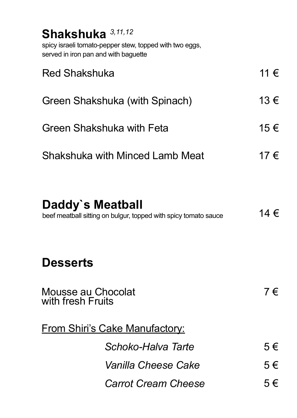| Shakshuka 3,11,12                                                                               |         |
|-------------------------------------------------------------------------------------------------|---------|
| spicy israeli tomato-pepper stew, topped with two eggs,<br>served in iron pan and with baquette |         |
| <b>Red Shakshuka</b>                                                                            | 11 €    |
| Green Shakshuka (with Spinach)                                                                  | 13€     |
| Green Shakshuka with Feta                                                                       | 15€     |
| Shakshuka with Minced Lamb Meat                                                                 | 17 €    |
|                                                                                                 |         |
| Daddy's Meatball<br>beef meatball sitting on bulgur, topped with spicy tomato sauce             | 14 €    |
|                                                                                                 |         |
| <b>Desserts</b>                                                                                 |         |
| Mousse au Chocolat<br>with fresh Fruits                                                         | $7 \in$ |
| From Shiri's Cake Manufactory:                                                                  |         |
| Schoko-Halva Tarte                                                                              | 5€      |
| Vanilla Cheese Cake                                                                             | 5€      |
| <b>Carrot Cream Cheese</b>                                                                      | 5€      |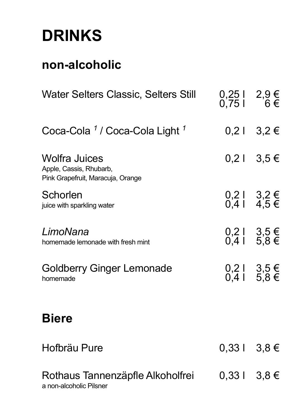## **DRINKS**

#### **non-alcoholic**

| Water Selters Classic, Selters Still                                                 | $0,25$   2,9 €<br>0,75   6 € |                              |
|--------------------------------------------------------------------------------------|------------------------------|------------------------------|
| Coca-Cola 1 / Coca-Cola Light 1                                                      |                              | $0,2$   3,2 €                |
| <b>Wolfra Juices</b><br>Apple, Cassis, Rhubarb,<br>Pink Grapefruit, Maracuja, Orange |                              | $0,2$   3,5 €                |
| Schorlen<br>juice with sparkling water                                               |                              | $0,2$   3,2 €<br>0,4   4,5 € |
| LimoNana<br>homemade lemonade with fresh mint                                        |                              | $0,2$   3,5 €<br>0,4   5,8 € |
| <b>Goldberry Ginger Lemonade</b><br>homemade                                         |                              | $0,21$ 3,5 €<br>0,4 l 5.8 €  |
| <b>Biere</b>                                                                         |                              |                              |
| Hofbräu Pure                                                                         | $0,331$ 3,8 €                |                              |
| Rothaus Tannenzäpfle Alkoholfrei<br>a non-alcoholic Pilsner                          | $0,331$ 3,8 €                |                              |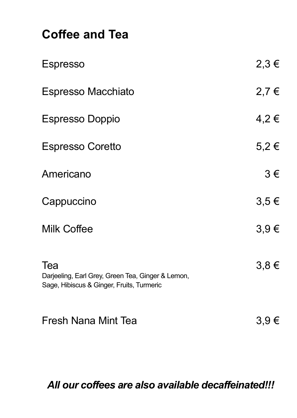#### **Coffee and Tea**

| <b>Espresso</b>                                                                                       | $2,3 \in$ |
|-------------------------------------------------------------------------------------------------------|-----------|
| Espresso Macchiato                                                                                    | 2,7€      |
| <b>Espresso Doppio</b>                                                                                | 4,2€      |
| <b>Espresso Coretto</b>                                                                               | $5,2 \in$ |
| Americano                                                                                             | 3€        |
| Cappuccino                                                                                            | $3,5 \in$ |
| Milk Coffee                                                                                           | 3,9€      |
| Tea<br>Darjeeling, Earl Grey, Green Tea, Ginger & Lemon,<br>Sage, Hibiscus & Ginger, Fruits, Turmeric | $3,8 \in$ |

Fresh Nana Mint Tea 3,9 €

*All our coffees are also available decaffeinated!!!*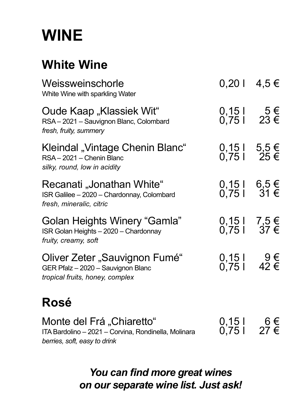# **WINE**

#### **White Wine**

| Weissweinschorle<br>White Wine with sparkling Water                                                               | $0,201$ 4,5 €                 |  |
|-------------------------------------------------------------------------------------------------------------------|-------------------------------|--|
| Oude Kaap "Klassiek Wit"<br>RSA-2021-Sauvignon Blanc, Colombard<br>fresh, fruity, summery                         | $0,15$   5 €<br>0,75   23 €   |  |
| Kleindal "Vintage Chenin Blanc"<br>RSA-2021 - Chenin Blanc<br>silky, round, low in acidity                        | $0,15$   5,5 €<br>0,75   25 € |  |
| Recanati "Jonathan White"<br>ISR Galilee - 2020 - Chardonnay, Colombard<br>fresh, mineralic, citric               | 0,15   6,5 €<br>0,75   31 €   |  |
| <b>Golan Heights Winery "Gamla"</b><br>ISR Golan Heights - 2020 - Chardonnay<br>fruity, creamy, soft              | 0,15   7,5 €<br>0,75   37 €   |  |
| Oliver Zeter "Sauvignon Fumé"<br>GER Pfalz - 2020 - Sauvignon Blanc<br>tropical fruits, honey, complex            | $0,15$   9 €<br>0,75   42 €   |  |
| Rosé                                                                                                              |                               |  |
| Monte del Frá "Chiaretto"<br>ITA Bardolino - 2021 - Corvina, Rondinella, Molinara<br>berries, soft, easy to drink | $0,15$   6 €<br>0,75   27 €   |  |

*You can find more great wines on our separate wine list. Just ask!*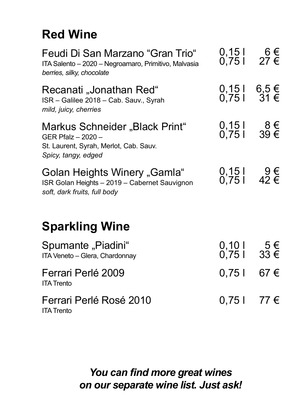### **Red Wine**

| Feudi Di San Marzano "Gran Trio"<br>ITA Salento - 2020 - Negroamaro, Primitivo, Malvasia<br>berries, silky, chocolate | $0,15$   6 €<br>0,75   27 € |                     |
|-----------------------------------------------------------------------------------------------------------------------|-----------------------------|---------------------|
| Recanati "Jonathan Red"<br>ISR - Galilee 2018 - Cab. Sauv., Syrah<br>mild, juicy, cherries                            | 0,15   6,5 €<br>0,75   31 € |                     |
| Markus Schneider "Black Print"<br>GER Pfalz - 2020 -<br>St. Laurent, Syrah, Merlot, Cab. Sauv.<br>Spicy, tangy, edged | $0,15$   8 €<br>0,75   39 € |                     |
| Golan Heights Winery "Gamla"<br>ISR Golan Heights - 2019 - Cabernet Sauvignon<br>soft, dark fruits, full body         | 0,15   9€<br>0,75   42 €    |                     |
| <b>Sparkling Wine</b>                                                                                                 |                             |                     |
| Spumante "Piadini"<br>ITA Veneto - Glera, Chardonnay                                                                  | 0,10 l<br>0,75 l            | $5 \in$<br>33 $\in$ |
| Ferrari Perlé 2009<br><b>ITA Trento</b>                                                                               | 0,751                       | 67 €                |
| Ferrari Perlé Rosé 2010<br><b>ITA Trento</b>                                                                          | 0,751                       | 77 €                |

*You can find more great wines on our separate wine list. Just ask!*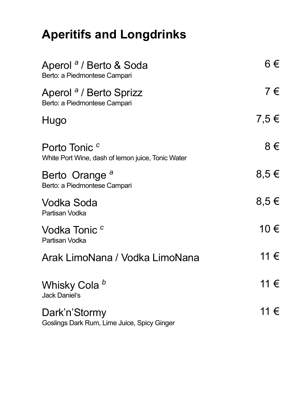## **Aperitifs and Longdrinks**

| Aperol <sup>a</sup> / Berto & Soda<br>Berto: a Piedmontese Campari            | 6€        |
|-------------------------------------------------------------------------------|-----------|
| Aperol <sup>a</sup> / Berto Sprizz<br>Berto: a Piedmontese Campari            | 7€        |
| Hugo                                                                          | 7,5€      |
| Porto Tonic <sup>c</sup><br>White Port Wine, dash of lemon juice, Tonic Water | 8€        |
| Berto Orange <sup>a</sup><br>Berto: a Piedmontese Campari                     | $8,5 \in$ |
| Vodka Soda<br>Partisan Vodka                                                  | $8,5 \in$ |
| Vodka Tonic <sup>c</sup><br>Partisan Vodka                                    | 10 €      |
| Arak LimoNana / Vodka LimoNana                                                | 11 €      |
| Whisky Cola b<br>Jack Daniel's                                                | 11 €      |
| Dark'n'Stormy<br>Goslings Dark Rum, Lime Juice, Spicy Ginger                  | 11 €      |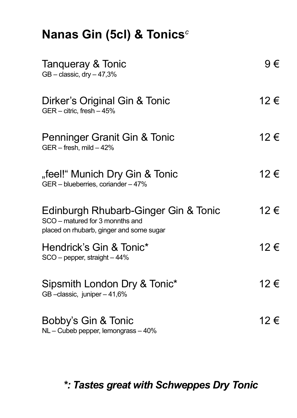| Nanas Gin (5cl) & Tonics <sup>c</sup>                                                                               |         |
|---------------------------------------------------------------------------------------------------------------------|---------|
| Tangueray & Tonic<br>$GB - classic, dry -47,3%$                                                                     | $9 \in$ |
| Dirker's Original Gin & Tonic<br>GER - citric, fresh - 45%                                                          | 12€     |
| Penninger Granit Gin & Tonic<br>GER - fresh, mild - 42%                                                             | 12€     |
| "feel!" Munich Dry Gin & Tonic<br>GER - blueberries, coriander - 47%                                                | 12 €    |
| Edinburgh Rhubarb-Ginger Gin & Tonic<br>SCO - matured for 3 monnths and<br>placed on rhubarb, ginger and some sugar | 12€     |
| Hendrick's Gin & Tonic*<br>$SCO$ – pepper, straight – 44%                                                           | 12 €    |
| Sipsmith London Dry & Tonic*<br>GB-classic, juniper-41,6%                                                           | 12€     |
| Bobby's Gin & Tonic<br>NL - Cubeb pepper, lemongrass - 40%                                                          | 12 €    |

*\*: Tastes great with Schweppes Dry Tonic*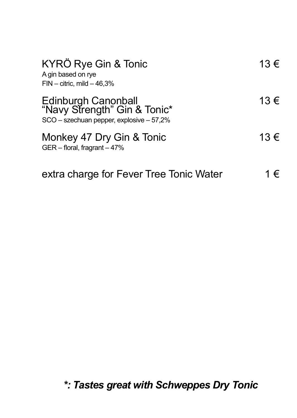| KYRÖ Rye Gin & Tonic<br>A gin based on rye<br>$FIN - citric$ , mild $-46.3%$                    | 13€      |
|-------------------------------------------------------------------------------------------------|----------|
| Edinburgh Canonball<br>"Navy Strength" Gin & Tonic*<br>SCO - szechuan pepper, explosive - 57,2% | 13 $\xi$ |
| Monkey 47 Dry Gin & Tonic<br>GER - floral, fragrant - 47%                                       | 13 €     |
| extra charge for Fever Tree Tonic Water                                                         | €        |

*\*: Tastes great with Schweppes Dry Tonic*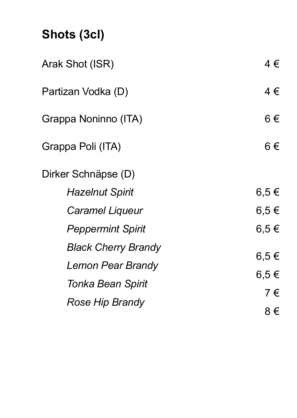## **Shots (3cl)**

| Arak Shot (ISR)                                 | 4€           |
|-------------------------------------------------|--------------|
| Partizan Vodka (D)                              | 4€           |
| Grappa Noninno (ITA)                            | 6€           |
| Grappa Poli (ITA)                               | 6€           |
| Dirker Schnäpse (D)                             |              |
| Hazelnut Spirit                                 | 6,5€         |
| Caramel Liqueur                                 | 6,5€         |
| <b>Peppermint Spirit</b>                        | 6.5€         |
| <b>Black Cherry Brandy</b><br>Lemon Pear Brandy | 6,5€<br>6,5€ |
| Tonka Bean Spirit                               | 7€           |
| Rose Hip Brandy                                 | 8€           |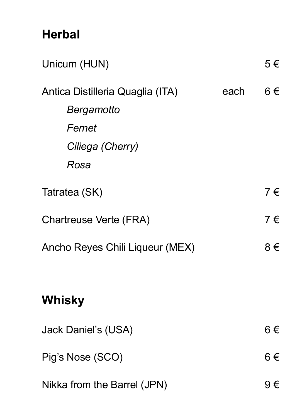### **Herbal**

| Unicum (HUN)                                                                         |      | 5€ |
|--------------------------------------------------------------------------------------|------|----|
| Antica Distilleria Quaglia (ITA)<br>Bergamotto<br>Fernet<br>Ciliega (Cherry)<br>Rosa | each | 6€ |
| Tatratea (SK)                                                                        |      | 7€ |
| Chartreuse Verte (FRA)                                                               |      | 7€ |
| Ancho Reyes Chili Liqueur (MEX)                                                      |      | 8€ |
| Whisky                                                                               |      |    |
| Jack Daniel's (USA)                                                                  |      | 6€ |
| Pig's Nose (SCO)                                                                     |      | 6€ |
| Nikka from the Barrel (JPN)                                                          |      | 9€ |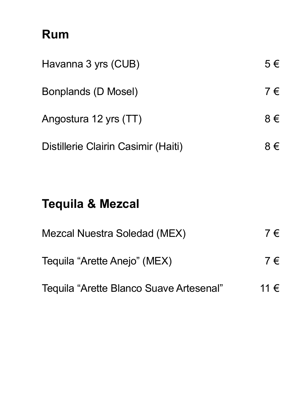#### **Rum**

| Havanna 3 yrs (CUB)                 | 5€ |
|-------------------------------------|----|
| Bonplands (D Mosel)                 | 7€ |
| Angostura 12 yrs (TT)               | 8€ |
| Distillerie Clairin Casimir (Haiti) | €  |

## **Tequila & Mezcal**

| Mezcal Nuestra Soledad (MEX)            | 7€      |
|-----------------------------------------|---------|
| Tequila "Arette Anejo" (MEX)            | $7 \in$ |
| Tequila "Arette Blanco Suave Artesenal" | 11 €    |